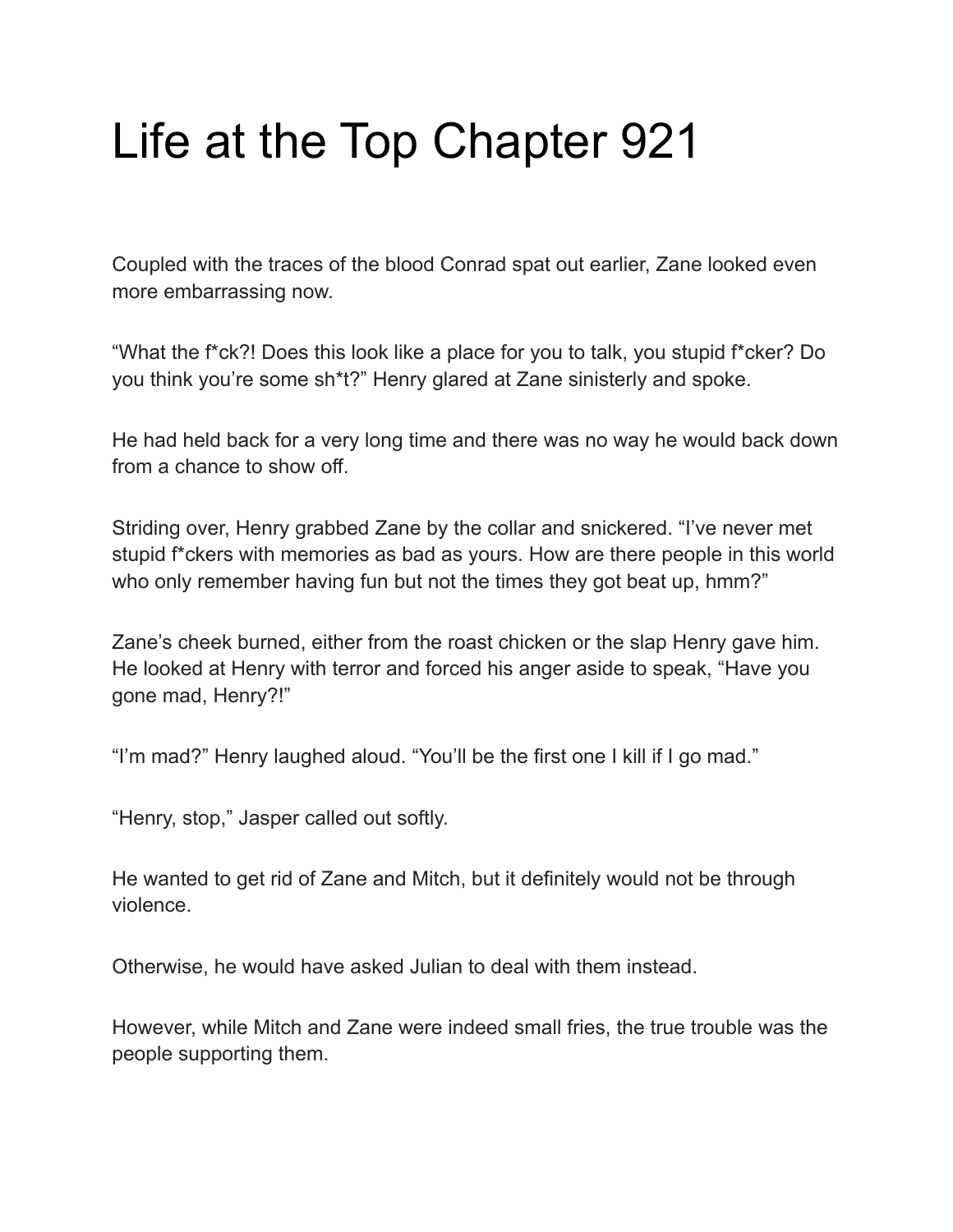## Life at the Top Chapter 921

Coupled with the traces of the blood Conrad spat out earlier, Zane looked even more embarrassing now.

"What the f\*ck?! Does this look like a place for you to talk, you stupid f\*cker? Do you think you're some sh\*t?" Henry glared at Zane sinisterly and spoke.

He had held back for a very long time and there was no way he would back down from a chance to show off.

Striding over, Henry grabbed Zane by the collar and snickered. "I've never met stupid f\*ckers with memories as bad as yours. How are there people in this world who only remember having fun but not the times they got beat up, hmm?"

Zane's cheek burned, either from the roast chicken or the slap Henry gave him. He looked at Henry with terror and forced his anger aside to speak, "Have you gone mad, Henry?!"

"I'm mad?" Henry laughed aloud. "You'll be the first one I kill if I go mad."

"Henry, stop," Jasper called out softly.

He wanted to get rid of Zane and Mitch, but it definitely would not be through violence.

Otherwise, he would have asked Julian to deal with them instead.

However, while Mitch and Zane were indeed small fries, the true trouble was the people supporting them.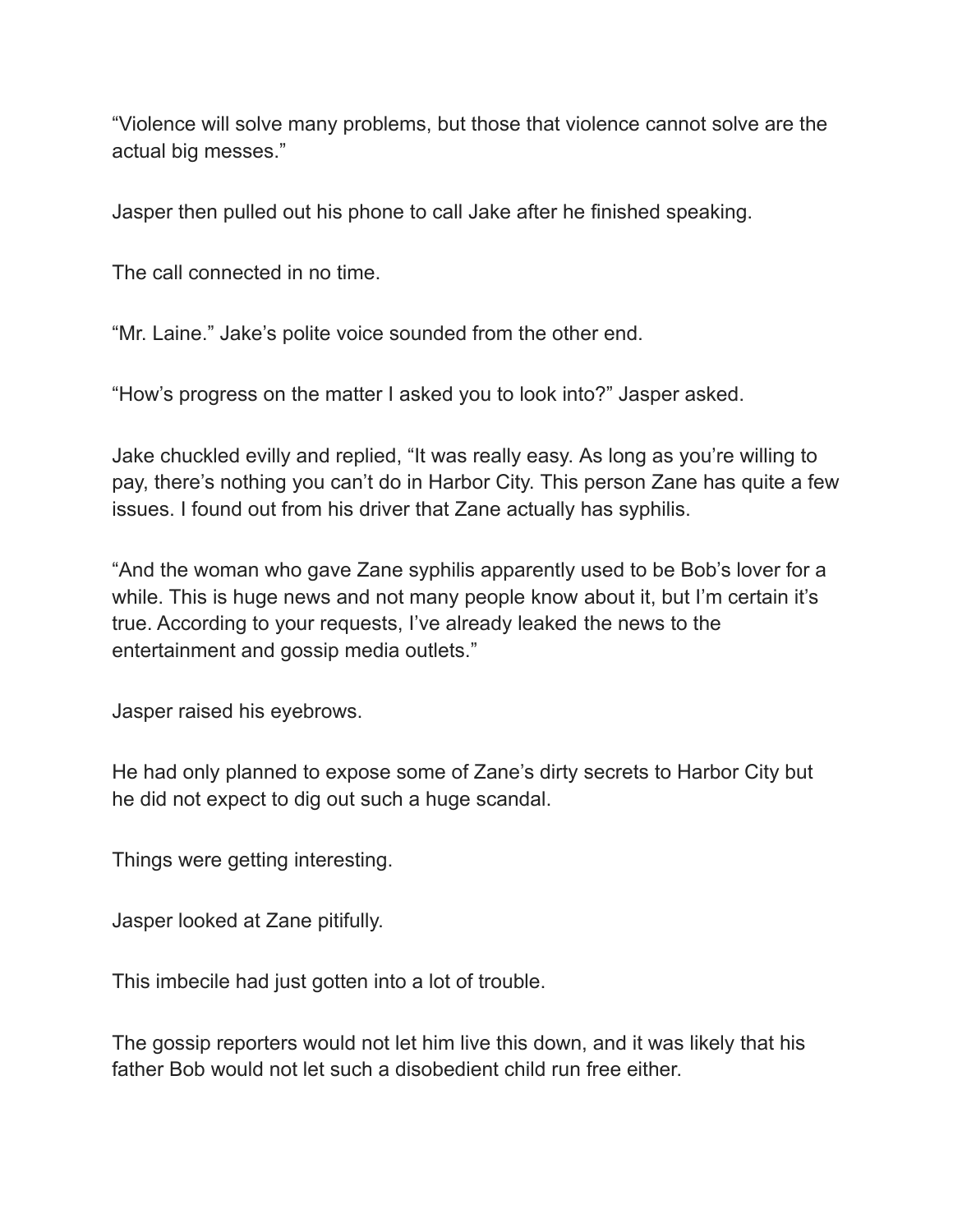"Violence will solve many problems, but those that violence cannot solve are the actual big messes."

Jasper then pulled out his phone to call Jake after he finished speaking.

The call connected in no time.

"Mr. Laine." Jake's polite voice sounded from the other end.

"How's progress on the matter I asked you to look into?" Jasper asked.

Jake chuckled evilly and replied, "It was really easy. As long as you're willing to pay, there's nothing you can't do in Harbor City. This person Zane has quite a few issues. I found out from his driver that Zane actually has syphilis.

"And the woman who gave Zane syphilis apparently used to be Bob's lover for a while. This is huge news and not many people know about it, but I'm certain it's true. According to your requests, I've already leaked the news to the entertainment and gossip media outlets."

Jasper raised his eyebrows.

He had only planned to expose some of Zane's dirty secrets to Harbor City but he did not expect to dig out such a huge scandal.

Things were getting interesting.

Jasper looked at Zane pitifully.

This imbecile had just gotten into a lot of trouble.

The gossip reporters would not let him live this down, and it was likely that his father Bob would not let such a disobedient child run free either.